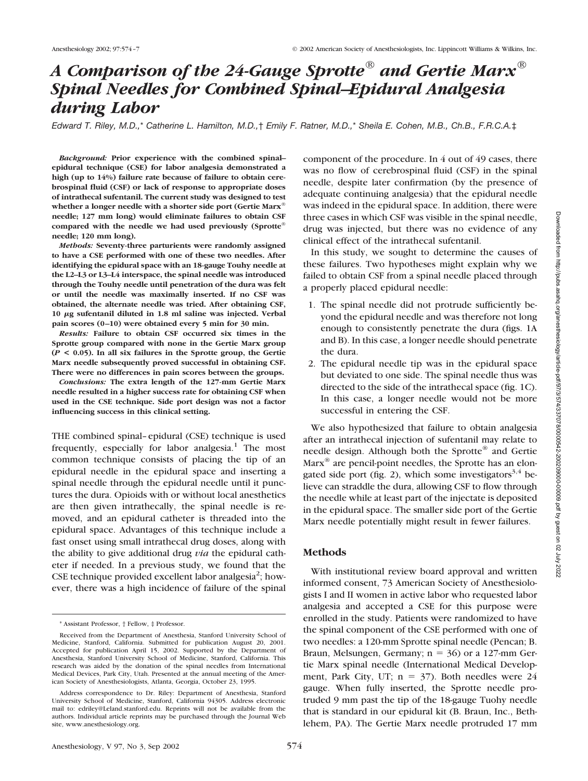# *A Comparison of the 24-Gauge Sprotte® and Gertie Marx® Spinal Needles for Combined Spinal–Epidural Analgesia during Labor*

*Edward T. Riley, M.D.,*\* *Catherine L. Hamilton, M.D.,*† *Emily F. Ratner, M.D.,*\* *Sheila E. Cohen, M.B., Ch.B., F.R.C.A.*‡

*Background:* **Prior experience with the combined spinal– epidural technique (CSE) for labor analgesia demonstrated a high (up to 14%) failure rate because of failure to obtain cerebrospinal fluid (CSF) or lack of response to appropriate doses of intrathecal sufentanil. The current study was designed to test whether a longer needle with a shorter side port (Gertie Marx® needle; 127 mm long) would eliminate failures to obtain CSF compared with the needle we had used previously (Sprotte® needle; 120 mm long).**

*Methods:* **Seventy-three parturients were randomly assigned to have a CSE performed with one of these two needles. After identifying the epidural space with an 18-gauge Touhy needle at the L2–L3 or L3–L4 interspace, the spinal needle was introduced through the Touhy needle until penetration of the dura was felt or until the needle was maximally inserted. If no CSF was obtained, the alternate needle was tried. After obtaining CSF, 10 g sufentanil diluted in 1.8 ml saline was injected. Verbal pain scores (0–10) were obtained every 5 min for 30 min.**

*Results:* **Failure to obtain CSF occurred six times in the Sprotte group compared with none in the Gertie Marx group (***P* **< 0.05). In all six failures in the Sprotte group, the Gertie Marx needle subsequently proved successful in obtaining CSF. There were no differences in pain scores between the groups.**

*Conclusions:* **The extra length of the 127-mm Gertie Marx needle resulted in a higher success rate for obtaining CSF when used in the CSE technique. Side port design was not a factor influencing success in this clinical setting.**

THE combined spinal–epidural (CSE) technique is used frequently, especially for labor analgesia.<sup>1</sup> The most common technique consists of placing the tip of an epidural needle in the epidural space and inserting a spinal needle through the epidural needle until it punctures the dura. Opioids with or without local anesthetics are then given intrathecally, the spinal needle is removed, and an epidural catheter is threaded into the epidural space. Advantages of this technique include a fast onset using small intrathecal drug doses, along with the ability to give additional drug *via* the epidural catheter if needed. In a previous study, we found that the CSE technique provided excellent labor analgesia<sup>2</sup>; however, there was a high incidence of failure of the spinal component of the procedure. In 4 out of 49 cases, there was no flow of cerebrospinal fluid (CSF) in the spinal needle, despite later confirmation (by the presence of adequate continuing analgesia) that the epidural needle was indeed in the epidural space. In addition, there were three cases in which CSF was visible in the spinal needle, drug was injected, but there was no evidence of any clinical effect of the intrathecal sufentanil.

In this study, we sought to determine the causes of these failures. Two hypotheses might explain why we failed to obtain CSF from a spinal needle placed through a properly placed epidural needle:

- 1. The spinal needle did not protrude sufficiently beyond the epidural needle and was therefore not long enough to consistently penetrate the dura (figs. 1A and B). In this case, a longer needle should penetrate the dura.
- 2. The epidural needle tip was in the epidural space but deviated to one side. The spinal needle thus was directed to the side of the intrathecal space (fig. 1C). In this case, a longer needle would not be more successful in entering the CSF.

We also hypothesized that failure to obtain analgesia after an intrathecal injection of sufentanil may relate to needle design. Although both the Sprotte® and Gertie Marx<sup>®</sup> are pencil-point needles, the Sprotte has an elongated side port (fig. 2), which some investigators<sup>3,4</sup> believe can straddle the dura, allowing CSF to flow through the needle while at least part of the injectate is deposited in the epidural space. The smaller side port of the Gertie Marx needle potentially might result in fewer failures.

#### **Methods**

With institutional review board approval and written informed consent, 73 American Society of Anesthesiologists I and II women in active labor who requested labor analgesia and accepted a CSE for this purpose were enrolled in the study. Patients were randomized to have the spinal component of the CSE performed with one of two needles: a 120-mm Sprotte spinal needle (Pencan; B. Braun, Melsungen, Germany;  $n = 36$ ) or a 127-mm Gertie Marx spinal needle (International Medical Development, Park City, UT;  $n = 37$ ). Both needles were 24 gauge. When fully inserted, the Sprotte needle protruded 9 mm past the tip of the 18-gauge Tuohy needle that is standard in our epidural kit (B. Braun, Inc., Bethlehem, PA). The Gertie Marx needle protruded 17 mm

<sup>\*</sup> Assistant Professor, † Fellow, ‡ Professor.

Received from the Department of Anesthesia, Stanford University School of Medicine, Stanford, California. Submitted for publication August 20, 2001. Accepted for publication April 15, 2002. Supported by the Department of Anesthesia, Stanford University School of Medicine, Stanford, California. This research was aided by the donation of the spinal needles from International Medical Devices, Park City, Utah. Presented at the annual meeting of the American Society of Anesthesiologists, Atlanta, Georgia, October 23, 1995.

Address correspondence to Dr. Riley: Department of Anesthesia, Stanford University School of Medicine, Stanford, California 94305. Address electronic mail to: edriley@Leland.stanford.edu. Reprints will not be available from the authors. Individual article reprints may be purchased through the Journal Web site, www.anesthesiology.org.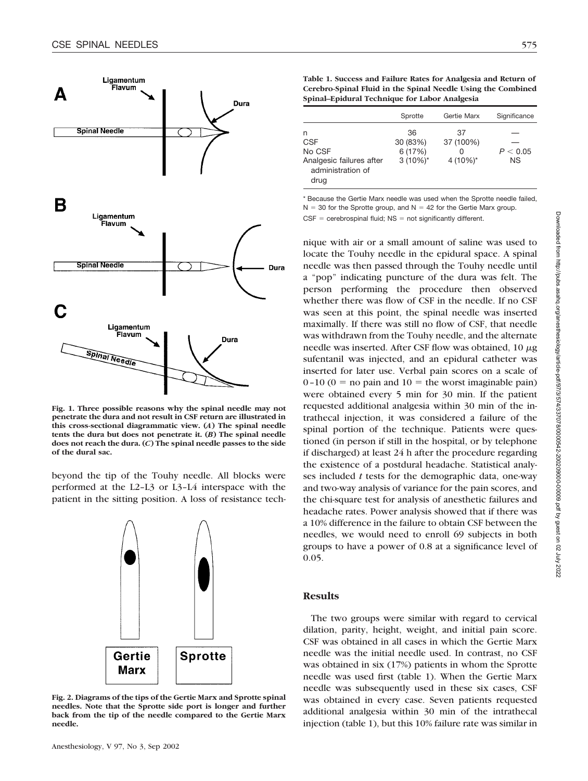

**Fig. 1. Three possible reasons why the spinal needle may not penetrate the dura and not result in CSF return are illustrated in this cross-sectional diagrammatic view. (***A***) The spinal needle tents the dura but does not penetrate it. (***B***) The spinal needle does not reach the dura. (***C***) The spinal needle passes to the side of the dural sac.**

beyond the tip of the Touhy needle. All blocks were performed at the L2–L3 or L3–L4 interspace with the patient in the sitting position. A loss of resistance tech-



**Fig. 2. Diagrams of the tips of the Gertie Marx and Sprotte spinal needles. Note that the Sprotte side port is longer and further back from the tip of the needle compared to the Gertie Marx needle.**

**Table 1. Success and Failure Rates for Analgesia and Return of Cerebro-Spinal Fluid in the Spinal Needle Using the Combined Spinal–Epidural Technique for Labor Analgesia**

|                                                                                    | Sprotte                                  | Gertie Marx                          | Significance          |
|------------------------------------------------------------------------------------|------------------------------------------|--------------------------------------|-----------------------|
| n<br><b>CSF</b><br>No CSF<br>Analgesic failures after<br>administration of<br>drug | 36<br>30 (83%)<br>6 (17%)<br>$3(10\%)^*$ | 37<br>37 (100%)<br>O<br>4 $(10\%)^*$ | P < 0.05<br><b>NS</b> |

\* Because the Gertie Marx needle was used when the Sprotte needle failed,  $N = 30$  for the Sprotte group, and  $N = 42$  for the Gertie Marx group.  $CSF =$  cerebrospinal fluid;  $NS =$  not significantly different.

nique with air or a small amount of saline was used to locate the Touhy needle in the epidural space. A spinal needle was then passed through the Touhy needle until a "pop" indicating puncture of the dura was felt. The person performing the procedure then observed whether there was flow of CSF in the needle. If no CSF was seen at this point, the spinal needle was inserted maximally. If there was still no flow of CSF, that needle was withdrawn from the Touhy needle, and the alternate needle was inserted. After CSF flow was obtained,  $10 \mu$ g sufentanil was injected, and an epidural catheter was inserted for later use. Verbal pain scores on a scale of  $0-10$  ( $0 =$  no pain and  $10 =$  the worst imaginable pain) were obtained every 5 min for 30 min. If the patient requested additional analgesia within 30 min of the intrathecal injection, it was considered a failure of the spinal portion of the technique. Patients were questioned (in person if still in the hospital, or by telephone if discharged) at least 24 h after the procedure regarding the existence of a postdural headache. Statistical analyses included *t* tests for the demographic data, one-way and two-way analysis of variance for the pain scores, and the chi-square test for analysis of anesthetic failures and headache rates. Power analysis showed that if there was a 10% difference in the failure to obtain CSF between the needles, we would need to enroll 69 subjects in both groups to have a power of 0.8 at a significance level of 0.05.

## **Results**

The two groups were similar with regard to cervical dilation, parity, height, weight, and initial pain score. CSF was obtained in all cases in which the Gertie Marx needle was the initial needle used. In contrast, no CSF was obtained in six (17%) patients in whom the Sprotte needle was used first (table 1). When the Gertie Marx needle was subsequently used in these six cases, CSF was obtained in every case. Seven patients requested additional analgesia within 30 min of the intrathecal injection (table 1), but this 10% failure rate was similar in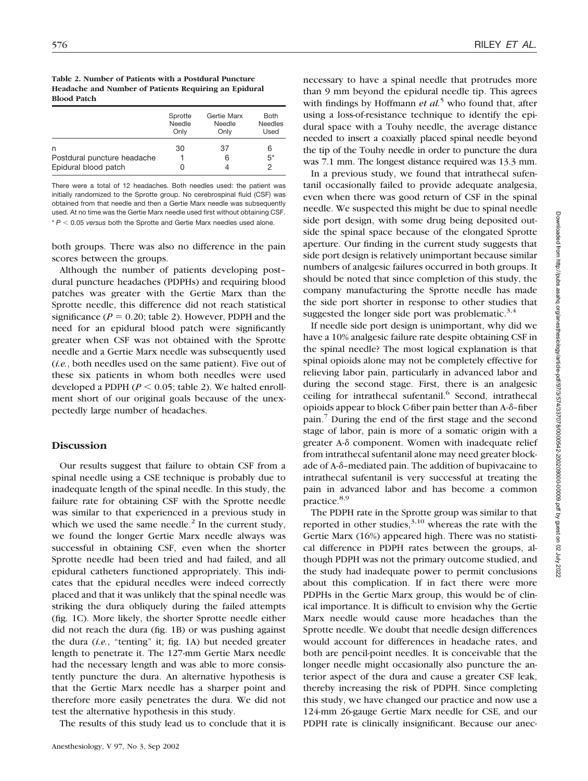| Table 2. Number of Patients with a Postdural Puncture |
|-------------------------------------------------------|
| Headache and Number of Patients Requiring an Epidural |
| <b>Blood Patch</b>                                    |

|                                                          | Sprotte | Gertie Marx | <b>Both</b>    |
|----------------------------------------------------------|---------|-------------|----------------|
|                                                          | Needle  | Needle      | <b>Needles</b> |
|                                                          | Only    | Only        | Used           |
| n<br>Postdural puncture headache<br>Epidural blood patch | 30      | 37<br>6     | 6<br>$5*$<br>2 |

There were a total of 12 headaches. Both needles used: the patient was initially randomized to the Sprotte group. No cerebrospinal fluid (CSF) was obtained from that needle and then a Gertie Marx needle was subsequently used. At no time was the Gertie Marx needle used first without obtaining CSF. \* *P* - 0.05 *versus* both the Sprotte and Gertie Marx needles used alone.

both groups. There was also no difference in the pain scores between the groups.

Although the number of patients developing post– dural puncture headaches (PDPHs) and requiring blood patches was greater with the Gertie Marx than the Sprotte needle, this difference did not reach statistical significance  $(P = 0.20$ ; table 2). However, PDPH and the need for an epidural blood patch were significantly greater when CSF was not obtained with the Sprotte needle and a Gertie Marx needle was subsequently used (*i.e.*, both needles used on the same patient). Five out of these six patients in whom both needles were used developed a PDPH  $(P < 0.05$ ; table 2). We halted enrollment short of our original goals because of the unexpectedly large number of headaches.

## **Discussion**

Our results suggest that failure to obtain CSF from a spinal needle using a CSE technique is probably due to inadequate length of the spinal needle. In this study, the failure rate for obtaining CSF with the Sprotte needle was similar to that experienced in a previous study in which we used the same needle. $^{2}$  In the current study, we found the longer Gertie Marx needle always was successful in obtaining CSF, even when the shorter Sprotte needle had been tried and had failed, and all epidural catheters functioned appropriately. This indicates that the epidural needles were indeed correctly placed and that it was unlikely that the spinal needle was striking the dura obliquely during the failed attempts (fig. 1C). More likely, the shorter Sprotte needle either did not reach the dura (fig. 1B) or was pushing against the dura (*i.e.*, "tenting" it; fig. 1A) but needed greater length to penetrate it. The 127-mm Gertie Marx needle had the necessary length and was able to more consistently puncture the dura. An alternative hypothesis is that the Gertie Marx needle has a sharper point and therefore more easily penetrates the dura. We did not test the alternative hypothesis in this study.

The results of this study lead us to conclude that it is

necessary to have a spinal needle that protrudes more than 9 mm beyond the epidural needle tip. This agrees with findings by Hoffmann *et al.*<sup>5</sup> who found that, after using a loss-of-resistance technique to identify the epidural space with a Touhy needle, the average distance needed to insert a coaxially placed spinal needle beyond the tip of the Touhy needle in order to puncture the dura was 7.1 mm. The longest distance required was 13.3 mm.

In a previous study, we found that intrathecal sufentanil occasionally failed to provide adequate analgesia, even when there was good return of CSF in the spinal needle. We suspected this might be due to spinal needle side port design, with some drug being deposited outside the spinal space because of the elongated Sprotte aperture. Our finding in the current study suggests that side port design is relatively unimportant because similar numbers of analgesic failures occurred in both groups. It should be noted that since completion of this study, the company manufacturing the Sprotte needle has made the side port shorter in response to other studies that suggested the longer side port was problematic. $3,4$ 

If needle side port design is unimportant, why did we have a 10% analgesic failure rate despite obtaining CSF in the spinal needle? The most logical explanation is that spinal opioids alone may not be completely effective for relieving labor pain, particularly in advanced labor and during the second stage. First, there is an analgesic ceiling for intrathecal sufentanil.<sup>6</sup> Second, intrathecal opioids appear to block C-fiber pain better than  $A-\delta$ -fiber pain.7 During the end of the first stage and the second stage of labor, pain is more of a somatic origin with a greater A- $\delta$  component. Women with inadequate relief from intrathecal sufentanil alone may need greater blockade of A- $\delta$ -mediated pain. The addition of bupivacaine to intrathecal sufentanil is very successful at treating the pain in advanced labor and has become a common practice.8,9

The PDPH rate in the Sprotte group was similar to that reported in other studies,  $3,10$  whereas the rate with the Gertie Marx (16%) appeared high. There was no statistical difference in PDPH rates between the groups, although PDPH was not the primary outcome studied, and the study had inadequate power to permit conclusions about this complication. If in fact there were more PDPHs in the Gertie Marx group, this would be of clinical importance. It is difficult to envision why the Gertie Marx needle would cause more headaches than the Sprotte needle. We doubt that needle design differences would account for differences in headache rates, and both are pencil-point needles. It is conceivable that the longer needle might occasionally also puncture the anterior aspect of the dura and cause a greater CSF leak, thereby increasing the risk of PDPH. Since completing this study, we have changed our practice and now use a 124-mm 26-gauge Gertie Marx needle for CSE, and our PDPH rate is clinically insignificant. Because our anec